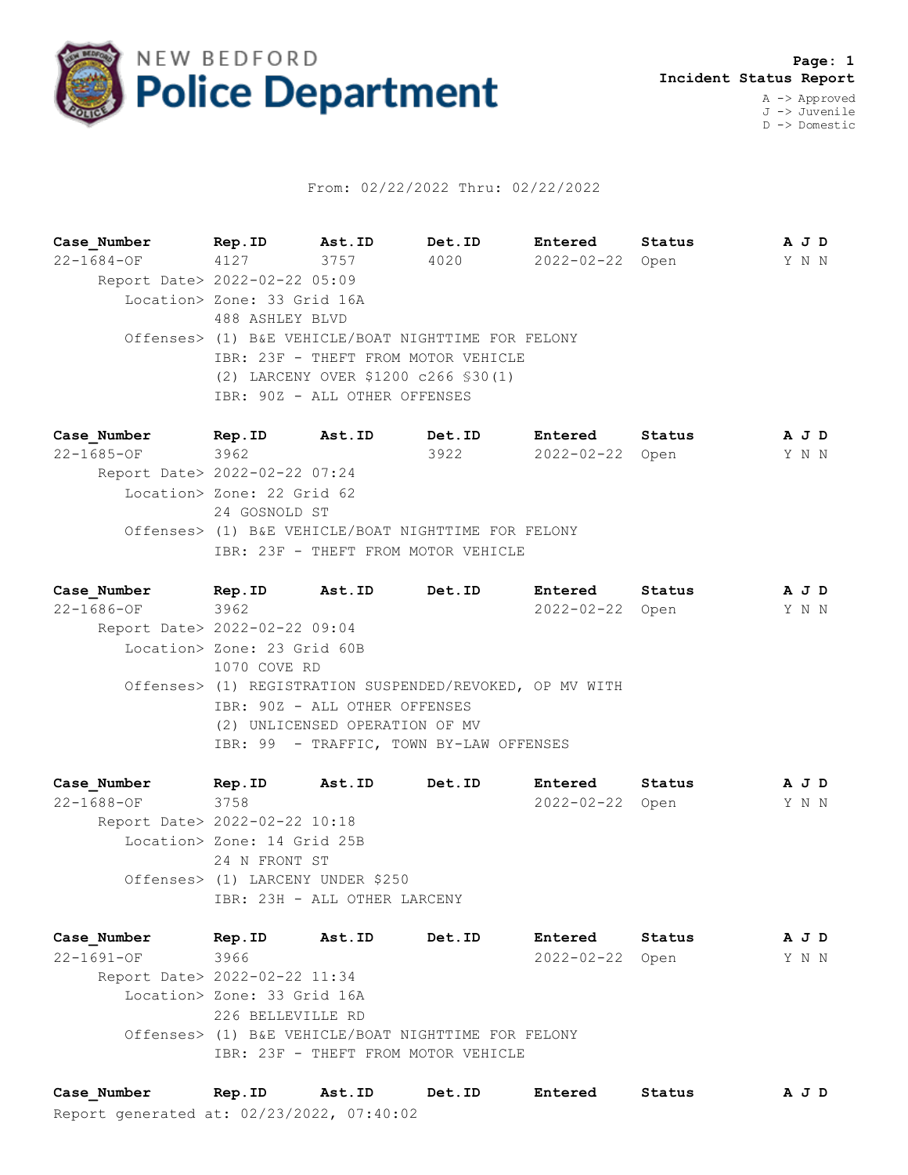

## From: 02/22/2022 Thru: 02/22/2022

**Case\_Number Rep.ID Ast.ID Det.ID Entered Status A J D** 22-1684-OF 4127 3757 4020 2022-02-22 Open Y N N Report Date> 2022-02-22 05:09 Location> Zone: 33 Grid 16A 488 ASHLEY BLVD Offenses> (1) B&E VEHICLE/BOAT NIGHTTIME FOR FELONY IBR: 23F - THEFT FROM MOTOR VEHICLE (2) LARCENY OVER \$1200 c266 §30(1) IBR: 90Z - ALL OTHER OFFENSES

**Case\_Number Rep.ID Ast.ID Det.ID Entered Status A J D** 22-1685-OF 3962 3922 2022-02-22 Open Y N N Report Date> 2022-02-22 07:24 Location> Zone: 22 Grid 62 24 GOSNOLD ST Offenses> (1) B&E VEHICLE/BOAT NIGHTTIME FOR FELONY IBR: 23F - THEFT FROM MOTOR VEHICLE

**Case\_Number Rep.ID Ast.ID Det.ID Entered Status A J D** 22-1686-OF 3962 2022-02-22 Open Y N N Report Date> 2022-02-22 09:04 Location> Zone: 23 Grid 60B 1070 COVE RD Offenses> (1) REGISTRATION SUSPENDED/REVOKED, OP MV WITH IBR: 90Z - ALL OTHER OFFENSES (2) UNLICENSED OPERATION OF MV IBR: 99 - TRAFFIC, TOWN BY-LAW OFFENSES

**Case\_Number Rep.ID Ast.ID Det.ID Entered Status A J D** 22-1688-OF 3758 2022-02-22 Open Y N N Report Date> 2022-02-22 10:18 Location> Zone: 14 Grid 25B 24 N FRONT ST Offenses> (1) LARCENY UNDER \$250 IBR: 23H - ALL OTHER LARCENY

**Case\_Number Rep.ID Ast.ID Det.ID Entered Status A J D** 22-1691-OF 3966 2022-02-22 Open Y N N Report Date> 2022-02-22 11:34 Location> Zone: 33 Grid 16A 226 BELLEVILLE RD Offenses> (1) B&E VEHICLE/BOAT NIGHTTIME FOR FELONY IBR: 23F - THEFT FROM MOTOR VEHICLE

Report generated at: 02/23/2022, 07:40:02 **Case\_Number Rep.ID Ast.ID Det.ID Entered Status A J D**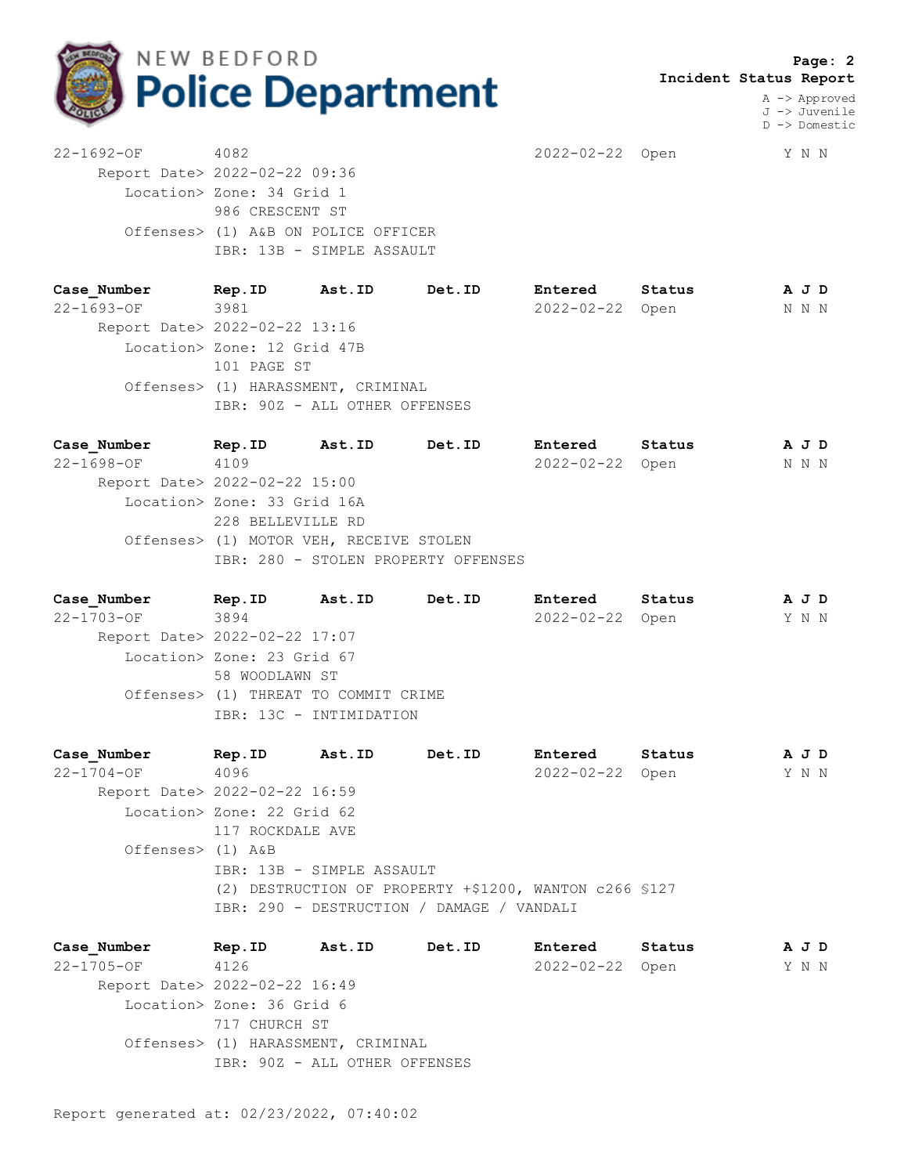

 **Page: 2 Incident Status Report**

> A -> Approved J -> Juvenile D -> Domestic

22-1692-OF 4082 2022-02-22 Open Y N N Report Date> 2022-02-22 09:36 Location> Zone: 34 Grid 1 986 CRESCENT ST Offenses> (1) A&B ON POLICE OFFICER IBR: 13B - SIMPLE ASSAULT

**Case\_Number Rep.ID Ast.ID Det.ID Entered Status A J D** 22-1693-OF 3981 2022-02-22 Open N N N Report Date> 2022-02-22 13:16 Location> Zone: 12 Grid 47B 101 PAGE ST Offenses> (1) HARASSMENT, CRIMINAL IBR: 90Z - ALL OTHER OFFENSES

**Case\_Number Rep.ID Ast.ID Det.ID Entered Status A J D** 22-1698-OF 4109 2022-02-22 Open N N N Report Date> 2022-02-22 15:00 Location> Zone: 33 Grid 16A 228 BELLEVILLE RD Offenses> (1) MOTOR VEH, RECEIVE STOLEN IBR: 280 - STOLEN PROPERTY OFFENSES

**Case\_Number Rep.ID Ast.ID Det.ID Entered Status A J D** 22-1703-OF 3894 2022-02-22 Open Y N N Report Date> 2022-02-22 17:07 Location> Zone: 23 Grid 67 58 WOODLAWN ST Offenses> (1) THREAT TO COMMIT CRIME IBR: 13C - INTIMIDATION

**Case\_Number Rep.ID Ast.ID Det.ID Entered Status A J D** 22-1704-OF 4096 2022-02-22 Open Y N N Report Date> 2022-02-22 16:59 Location> Zone: 22 Grid 62 117 ROCKDALE AVE Offenses> (1) A&B IBR: 13B - SIMPLE ASSAULT (2) DESTRUCTION OF PROPERTY +\$1200, WANTON c266 §127 IBR: 290 - DESTRUCTION / DAMAGE / VANDALI

**Case\_Number Rep.ID Ast.ID Det.ID Entered Status A J D** 22-1705-OF 4126 2022-02-22 Open Y N N Report Date> 2022-02-22 16:49 Location> Zone: 36 Grid 6 717 CHURCH ST Offenses> (1) HARASSMENT, CRIMINAL IBR: 90Z - ALL OTHER OFFENSES